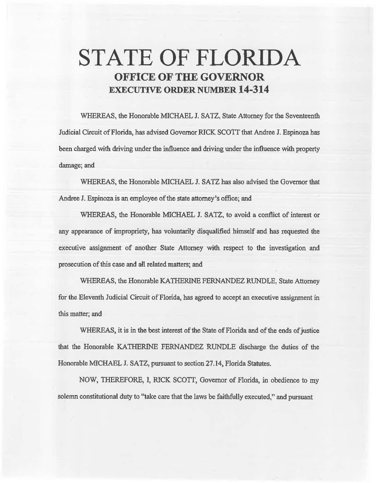# **STATE OF FLORIDA OFFICE OF THE GOVERNOR EXECUTIVE ORDER NUMBER 14-314**

WHEREAS, the Honorable MICHAEL J. SATZ, State Attorney for the Seventeenth Judicial Circuit of Florida, has advised Governor RICK SCOTT that Andree J. Espinoza has been charged with driving under the influence and driving under the influence with property damage; and

WHEREAS, the Honorable MICHAEL J. SATZ has also advised the Governor that Andree J. Espinoza is an employee of the state attorney's office; and

WHEREAS, the Honorable MICHAEL J. SATZ, to avoid a conflict of interest or any appearance of impropriety, has voluntarily disqualified himself and has requested the executive assignment of another State Attorney with. respect to the investigation and prosecution of this case and all related matters; and

WHEREAS, the Honorable KATHERINE FERNANDEZ RUNDLE. State Attorney for the Eleventh Judicial Circuit of Florida, has agreed to accept an executive assignment in this matter; and

WHEREAS, it is in the best interest of the State of Florida and of the ends of justice that the Honorable KA THERINE FERNANDEZ RUNDLE discharge the duties of the Honorable MICHAEL J. SATZ, pursuant to section 27.14, Florida Statutes.

NOW, THEREFORE, I, RICK SCOTT, Governor of Florida, in obedience to my solemn constitutional duty to "take care that the laws be faithfully executed," and pursuant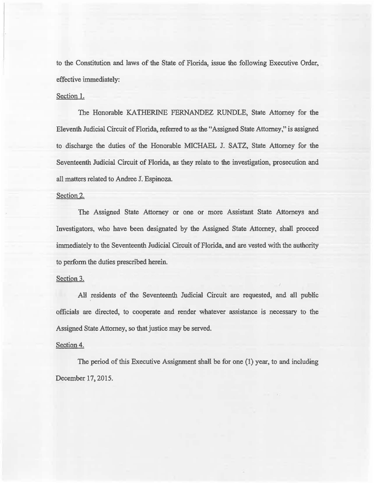to the Constitution and laws of the State of Florida, issue the following Executive Order, effective immediately:

## Section 1.

The Honorable KATHERINE FERNANDEZ RUNDLE, State Attorney for the Eleventh Judicial Circuit of Florida, referred to as the '~Assigned State Attorney," is assigned to discharge the duties of the Honorable MICHAEL J. SATZ, State Attorney for the Seventeenth Judicial Circuit of Florida, as they relate to the investigation, prosecution and all matters related to Andree J. Espinoza.

### Section 2.

The Assigned State Attorney or one or more Assistant State Attorneys and Investigators, who have been designated by the Assigned State Attorney, shall proceed immediately to the Seventeenth Judicial Circuit of Florida, and are vested with the authority to perform the duties prescribed herein.

### Section 3.

All residents of the Seventeenth Judicial Circuit are requested, and ail public officials are directed, to cooperate and render whatever assistance is necessary to the Assigned State Attorney, so that justice may be served.

### Section 4.

The period of this Executive Assignment shall be for one (1) year, to and including December 17, 2015.